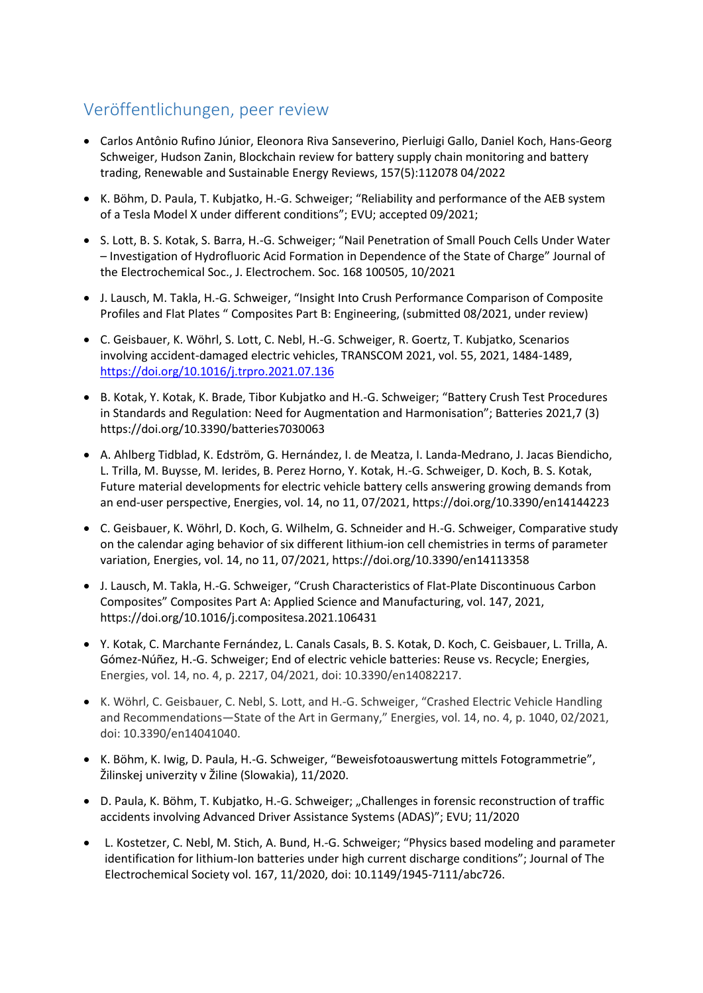# Veröffentlichungen, peer review

- Carlos Antônio Rufino Júnior, Eleonora Riva Sanseverino, Pierluigi Gallo, Daniel Koch, Hans-Georg Schweiger, Hudson Zanin, Blockchain review for battery supply chain monitoring and battery trading, Renewable and Sustainable Energy Reviews, 157(5):112078 04/2022
- K. Böhm, D. Paula, T. Kubjatko, H.-G. Schweiger; "Reliability and performance of the AEB system of a Tesla Model X under different conditions"; EVU; accepted 09/2021;
- S. Lott, B. S. Kotak, S. Barra, H.-G. Schweiger; "Nail Penetration of Small Pouch Cells Under Water – Investigation of Hydrofluoric Acid Formation in Dependence of the State of Charge" Journal of the Electrochemical Soc., J. Electrochem. Soc. 168 100505, 10/2021
- J. Lausch, M. Takla, H.-G. Schweiger, "Insight Into Crush Performance Comparison of Composite Profiles and Flat Plates " Composites Part B: Engineering, (submitted 08/2021, under review)
- C. Geisbauer, K. Wöhrl, S. Lott, C. Nebl, H.-G. Schweiger, R. Goertz, T. Kubjatko, Scenarios involving accident-damaged electric vehicles, TRANSCOM 2021, vol. 55, 2021, 1484-1489, <https://doi.org/10.1016/j.trpro.2021.07.136>
- B. Kotak, Y. Kotak, K. Brade, Tibor Kubjatko and H.-G. Schweiger; "Battery Crush Test Procedures in Standards and Regulation: Need for Augmentation and Harmonisation"; Batteries 2021,7 (3) https://doi.org/10.3390/batteries7030063
- A. Ahlberg Tidblad, K. Edström, G. Hernández, I. de Meatza, I. Landa-Medrano, J. Jacas Biendicho, L. Trilla, M. Buysse, M. Ierides, B. Perez Horno, Y. Kotak, H.-G. Schweiger, D. Koch, B. S. Kotak, Future material developments for electric vehicle battery cells answering growing demands from an end-user perspective, Energies, vol. 14, no 11, 07/2021, https://doi.org/10.3390/en14144223
- C. Geisbauer, K. Wöhrl, D. Koch, G. Wilhelm, G. Schneider and H.-G. Schweiger, Comparative study on the calendar aging behavior of six different lithium-ion cell chemistries in terms of parameter variation, Energies, vol. 14, no 11, 07/2021, https://doi.org/10.3390/en14113358
- J. Lausch, M. Takla, H.-G. Schweiger, "Crush Characteristics of Flat-Plate Discontinuous Carbon Composites" Composites Part A: Applied Science and Manufacturing, vol. 147, 2021, https://doi.org/10.1016/j.compositesa.2021.106431
- Y. Kotak, C. Marchante Fernández, L. Canals Casals, B. S. Kotak, D. Koch, C. Geisbauer, L. Trilla, A. Gómez-Núñez, H.-G. Schweiger; End of electric vehicle batteries: Reuse vs. Recycle; Energies, Energies, vol. 14, no. 4, p. 2217, 04/2021, doi: 10.3390/en14082217.
- K. Wöhrl, C. Geisbauer, C. Nebl, S. Lott, and H.-G. Schweiger, "Crashed Electric Vehicle Handling and Recommendations—State of the Art in Germany," Energies, vol. 14, no. 4, p. 1040, 02/2021, doi: 10.3390/en14041040.
- K. Böhm, K. Iwig, D. Paula, H.-G. Schweiger, "Beweisfotoauswertung mittels Fotogrammetrie", Žilinskej univerzity v Žiline (Slowakia), 11/2020.
- D. Paula, K. Böhm, T. Kubjatko, H.-G. Schweiger; "Challenges in forensic reconstruction of traffic accidents involving Advanced Driver Assistance Systems (ADAS)"; EVU; 11/2020
- L. Kostetzer, C. Nebl, M. Stich, A. Bund, H.-G. Schweiger; "Physics based modeling and parameter identification for lithium-Ion batteries under high current discharge conditions"; Journal of The Electrochemical Society vol. 167, 11/2020, doi: 10.1149/1945-7111/abc726.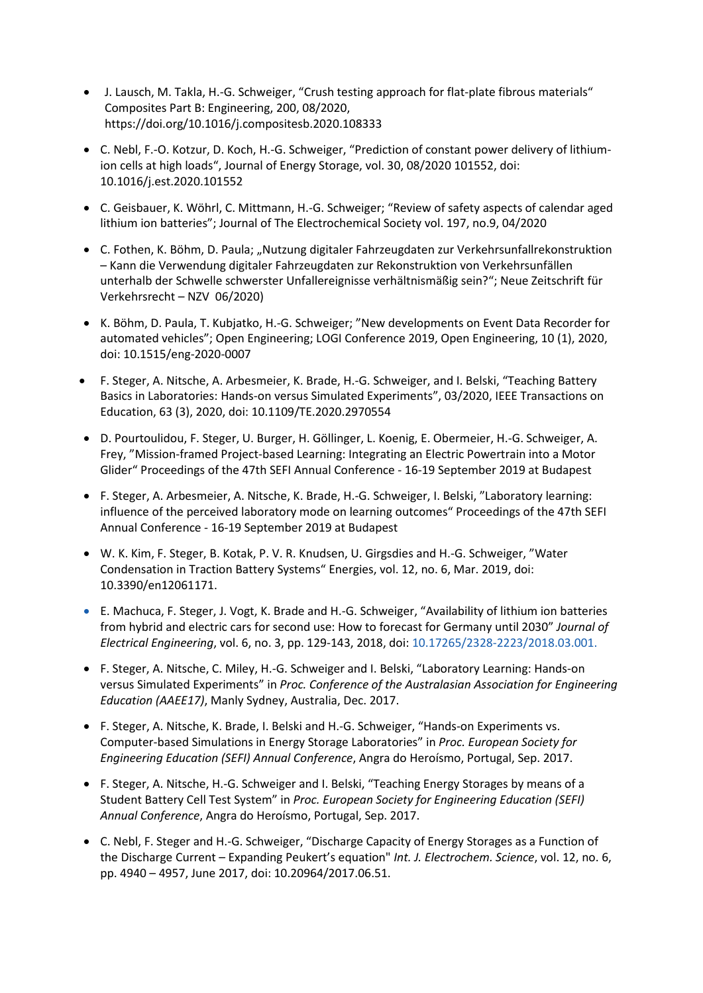- J. Lausch, M. Takla, H.-G. Schweiger, "Crush testing approach for flat-plate fibrous materials" Composites Part B: Engineering, 200, 08/2020, https://doi.org/10.1016/j.compositesb.2020.108333
- C. Nebl, F.-O. Kotzur, D. Koch, H.-G. Schweiger, "Prediction of constant power delivery of lithiumion cells at high loads", Journal of Energy Storage, vol. 30, 08/2020 101552, doi: 10.1016/j.est.2020.101552
- C. Geisbauer, K. Wöhrl, C. Mittmann, H.-G. Schweiger; "Review of safety aspects of calendar aged lithium ion batteries"; Journal of The Electrochemical Society vol. 197, no.9, 04/2020
- C. Fothen, K. Böhm, D. Paula; "Nutzung digitaler Fahrzeugdaten zur Verkehrsunfallrekonstruktion – Kann die Verwendung digitaler Fahrzeugdaten zur Rekonstruktion von Verkehrsunfällen unterhalb der Schwelle schwerster Unfallereignisse verhältnismäßig sein?"; Neue Zeitschrift für Verkehrsrecht – NZV 06/2020)
- K. Böhm, D. Paula, T. Kubjatko, H.-G. Schweiger; "New developments on Event Data Recorder for automated vehicles"; Open Engineering; LOGI Conference 2019, Open Engineering, 10 (1), 2020, doi: 10.1515/eng-2020-0007
- F. Steger, A. Nitsche, A. Arbesmeier, K. Brade, H.-G. Schweiger, and I. Belski, "Teaching Battery Basics in Laboratories: Hands-on versus Simulated Experiments", 03/2020, IEEE Transactions on Education, 63 (3), 2020, doi: 10.1109/TE.2020.2970554
- D. Pourtoulidou, F. Steger, U. Burger, H. Göllinger, L. Koenig, E. Obermeier, H.-G. Schweiger, A. Frey, "Mission-framed Project-based Learning: Integrating an Electric Powertrain into a Motor Glider" Proceedings of the 47th SEFI Annual Conference - 16-19 September 2019 at Budapest
- F. Steger, A. Arbesmeier, A. Nitsche, K. Brade, H.-G. Schweiger, I. Belski, "Laboratory learning: influence of the perceived laboratory mode on learning outcomes" Proceedings of the 47th SEFI Annual Conference - 16-19 September 2019 at Budapest
- W. K. Kim, F. Steger, B. Kotak, P. V. R. Knudsen, U. Girgsdies and H.-G. Schweiger, "Water Condensation in Traction Battery Systems" Energies, vol. 12, no. 6, Mar. 2019, doi: 10.3390/en12061171.
- E. Machuca, F. Steger, J. Vogt, K. Brade and H.-G. Schweiger, "Availability of lithium ion batteries from hybrid and electric cars for second use: How to forecast for Germany until 2030" *Journal of Electrical Engineering*, vol. 6, no. 3, pp. 129-143, 2018, doi: 10.17265/2328-2223/2018.03.001.
- F. Steger, A. Nitsche, C. Miley, H.-G. Schweiger and I. Belski, "Laboratory Learning: Hands-on versus Simulated Experiments" in *Proc. Conference of the Australasian Association for Engineering Education (AAEE17)*, Manly Sydney, Australia, Dec. 2017.
- F. Steger, A. Nitsche, K. Brade, I. Belski and H.-G. Schweiger, "Hands-on Experiments vs. Computer-based Simulations in Energy Storage Laboratories" in *Proc. European Society for Engineering Education (SEFI) Annual Conference*, Angra do Heroísmo, Portugal, Sep. 2017.
- F. Steger, A. Nitsche, H.-G. Schweiger and I. Belski, "Teaching Energy Storages by means of a Student Battery Cell Test System" in *Proc. European Society for Engineering Education (SEFI) Annual Conference*, Angra do Heroísmo, Portugal, Sep. 2017.
- C. Nebl, F. Steger and H.-G. Schweiger, "Discharge Capacity of Energy Storages as a Function of the Discharge Current – Expanding Peukert's equation" *Int. J. Electrochem. Science*, vol. 12, no. 6, pp. 4940 – 4957, June 2017, doi: 10.20964/2017.06.51.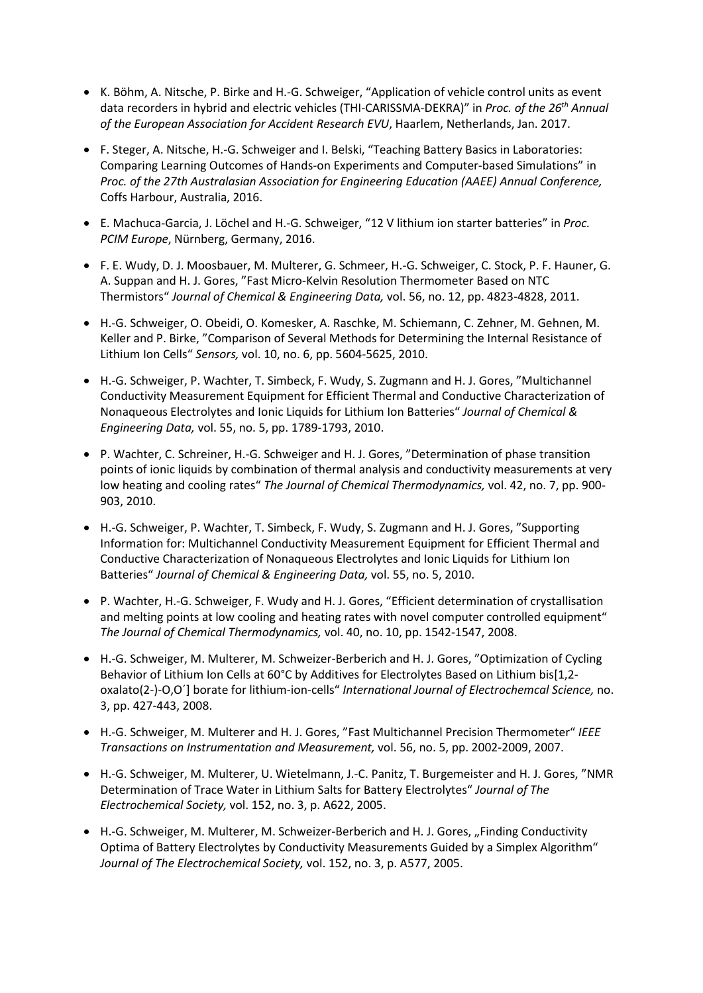- K. Böhm, A. Nitsche, P. Birke and H.-G. Schweiger, "Application of vehicle control units as event data recorders in hybrid and electric vehicles (THI-CARISSMA-DEKRA)" in *Proc. of the 26th Annual of the European Association for Accident Research EVU*, Haarlem, Netherlands, Jan. 2017.
- F. Steger, A. Nitsche, H.-G. Schweiger and I. Belski, "Teaching Battery Basics in Laboratories: Comparing Learning Outcomes of Hands-on Experiments and Computer-based Simulations" in *Proc. of the 27th Australasian Association for Engineering Education (AAEE) Annual Conference,* Coffs Harbour, Australia, 2016.
- E. Machuca-Garcia, J. Löchel and H.-G. Schweiger, "12 V lithium ion starter batteries" in *Proc. PCIM Europe*, Nürnberg, Germany, 2016.
- F. E. Wudy, D. J. Moosbauer, M. Multerer, G. Schmeer, H.-G. Schweiger, C. Stock, P. F. Hauner, G. A. Suppan and H. J. Gores, "Fast Micro-Kelvin Resolution Thermometer Based on NTC Thermistors" *Journal of Chemical & Engineering Data,* vol. 56, no. 12, pp. 4823-4828, 2011.
- H.-G. Schweiger, O. Obeidi, O. Komesker, A. Raschke, M. Schiemann, C. Zehner, M. Gehnen, M. Keller and P. Birke, "Comparison of Several Methods for Determining the Internal Resistance of Lithium Ion Cells" *Sensors,* vol. 10, no. 6, pp. 5604-5625, 2010.
- H.-G. Schweiger, P. Wachter, T. Simbeck, F. Wudy, S. Zugmann and H. J. Gores, "Multichannel Conductivity Measurement Equipment for Efficient Thermal and Conductive Characterization of Nonaqueous Electrolytes and Ionic Liquids for Lithium Ion Batteries" *Journal of Chemical & Engineering Data,* vol. 55, no. 5, pp. 1789-1793, 2010.
- P. Wachter, C. Schreiner, H.-G. Schweiger and H. J. Gores, "Determination of phase transition points of ionic liquids by combination of thermal analysis and conductivity measurements at very low heating and cooling rates" *The Journal of Chemical Thermodynamics,* vol. 42, no. 7, pp. 900- 903, 2010.
- H.-G. Schweiger, P. Wachter, T. Simbeck, F. Wudy, S. Zugmann and H. J. Gores, "Supporting Information for: Multichannel Conductivity Measurement Equipment for Efficient Thermal and Conductive Characterization of Nonaqueous Electrolytes and Ionic Liquids for Lithium Ion Batteries" *Journal of Chemical & Engineering Data,* vol. 55, no. 5, 2010.
- P. Wachter, H.-G. Schweiger, F. Wudy and H. J. Gores, "Efficient determination of crystallisation and melting points at low cooling and heating rates with novel computer controlled equipment" *The Journal of Chemical Thermodynamics,* vol. 40, no. 10, pp. 1542-1547, 2008.
- H.-G. Schweiger, M. Multerer, M. Schweizer-Berberich and H. J. Gores, "Optimization of Cycling Behavior of Lithium Ion Cells at 60°C by Additives for Electrolytes Based on Lithium bis[1,2oxalato(2-)-O,O´] borate for lithium-ion-cells" *International Journal of Electrochemcal Science,* no. 3, pp. 427-443, 2008.
- H.-G. Schweiger, M. Multerer and H. J. Gores, "Fast Multichannel Precision Thermometer" *IEEE Transactions on Instrumentation and Measurement,* vol. 56, no. 5, pp. 2002-2009, 2007.
- H.-G. Schweiger, M. Multerer, U. Wietelmann, J.-C. Panitz, T. Burgemeister and H. J. Gores, "NMR Determination of Trace Water in Lithium Salts for Battery Electrolytes" *Journal of The Electrochemical Society,* vol. 152, no. 3, p. A622, 2005.
- H.-G. Schweiger, M. Multerer, M. Schweizer-Berberich and H. J. Gores, "Finding Conductivity Optima of Battery Electrolytes by Conductivity Measurements Guided by a Simplex Algorithm" *Journal of The Electrochemical Society,* vol. 152, no. 3, p. A577, 2005.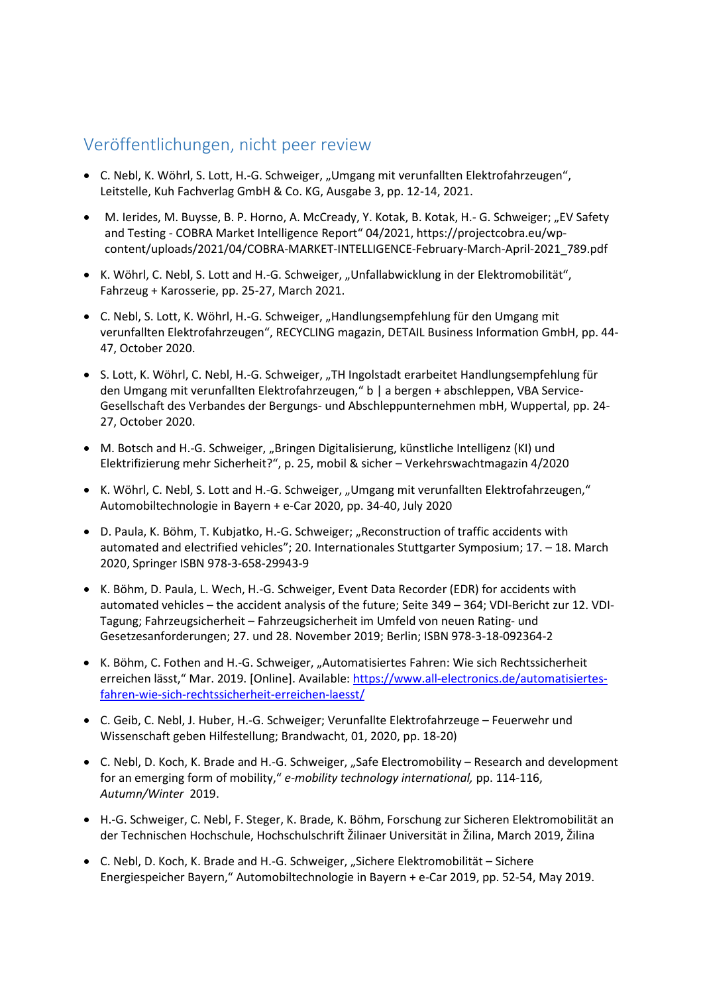#### Veröffentlichungen, nicht peer review

- C. Nebl, K. Wöhrl, S. Lott, H.-G. Schweiger, "Umgang mit verunfallten Elektrofahrzeugen", Leitstelle, Kuh Fachverlag GmbH & Co. KG, Ausgabe 3, pp. 12-14, 2021.
- M. Ierides, M. Buysse, B. P. Horno, A. McCready, Y. Kotak, B. Kotak, H.- G. Schweiger; "EV Safety and Testing - COBRA Market Intelligence Report" 04/2021, https://projectcobra.eu/wpcontent/uploads/2021/04/COBRA-MARKET-INTELLIGENCE-February-March-April-2021\_789.pdf
- K. Wöhrl, C. Nebl, S. Lott and H.-G. Schweiger, "Unfallabwicklung in der Elektromobilität", Fahrzeug + Karosserie, pp. 25-27, March 2021.
- C. Nebl, S. Lott, K. Wöhrl, H.-G. Schweiger, "Handlungsempfehlung für den Umgang mit verunfallten Elektrofahrzeugen", RECYCLING magazin, DETAIL Business Information GmbH, pp. 44- 47, October 2020.
- S. Lott, K. Wöhrl, C. Nebl, H.-G. Schweiger, "TH Ingolstadt erarbeitet Handlungsempfehlung für den Umgang mit verunfallten Elektrofahrzeugen," b | a bergen + abschleppen, VBA Service-Gesellschaft des Verbandes der Bergungs- und Abschleppunternehmen mbH, Wuppertal, pp. 24- 27, October 2020.
- M. Botsch and H.-G. Schweiger, "Bringen Digitalisierung, künstliche Intelligenz (KI) und Elektrifizierung mehr Sicherheit?", p. 25, mobil & sicher – Verkehrswachtmagazin 4/2020
- K. Wöhrl, C. Nebl, S. Lott and H.-G. Schweiger, "Umgang mit verunfallten Elektrofahrzeugen," Automobiltechnologie in Bayern + e-Car 2020, pp. 34-40, July 2020
- D. Paula, K. Böhm, T. Kubjatko, H.-G. Schweiger; "Reconstruction of traffic accidents with automated and electrified vehicles"; 20. Internationales Stuttgarter Symposium; 17. – 18. March 2020, Springer ISBN 978-3-658-29943-9
- K. Böhm, D. Paula, L. Wech, H.-G. Schweiger, Event Data Recorder (EDR) for accidents with automated vehicles – the accident analysis of the future; Seite 349 – 364; VDI-Bericht zur 12. VDI-Tagung; Fahrzeugsicherheit – Fahrzeugsicherheit im Umfeld von neuen Rating- und Gesetzesanforderungen; 27. und 28. November 2019; Berlin; ISBN 978-3-18-092364-2
- K. Böhm, C. Fothen and H.-G. Schweiger, "Automatisiertes Fahren: Wie sich Rechtssicherheit erreichen lässt," Mar. 2019. [Online]. Available: [https://www.all-electronics.de/automatisiertes](https://www.all-electronics.de/automatisiertes-fahren-wie-sich-rechtssicherheit-erreichen-laesst/)[fahren-wie-sich-rechtssicherheit-erreichen-laesst/](https://www.all-electronics.de/automatisiertes-fahren-wie-sich-rechtssicherheit-erreichen-laesst/)
- C. Geib, C. Nebl, J. Huber, H.-G. Schweiger; Verunfallte Elektrofahrzeuge Feuerwehr und Wissenschaft geben Hilfestellung; Brandwacht, 01, 2020, pp. 18-20)
- C. Nebl, D. Koch, K. Brade and H.-G. Schweiger, "Safe Electromobility Research and development for an emerging form of mobility," *e-mobility technology international,* pp. 114-116, *Autumn/Winter* 2019.
- H.-G. Schweiger, C. Nebl, F. Steger, K. Brade, K. Böhm, Forschung zur Sicheren Elektromobilität an der Technischen Hochschule, Hochschulschrift Žilinaer Universität in Žilina, March 2019, Žilina
- C. Nebl, D. Koch, K. Brade and H.-G. Schweiger, "Sichere Elektromobilität Sichere Energiespeicher Bayern," Automobiltechnologie in Bayern + e-Car 2019, pp. 52-54, May 2019.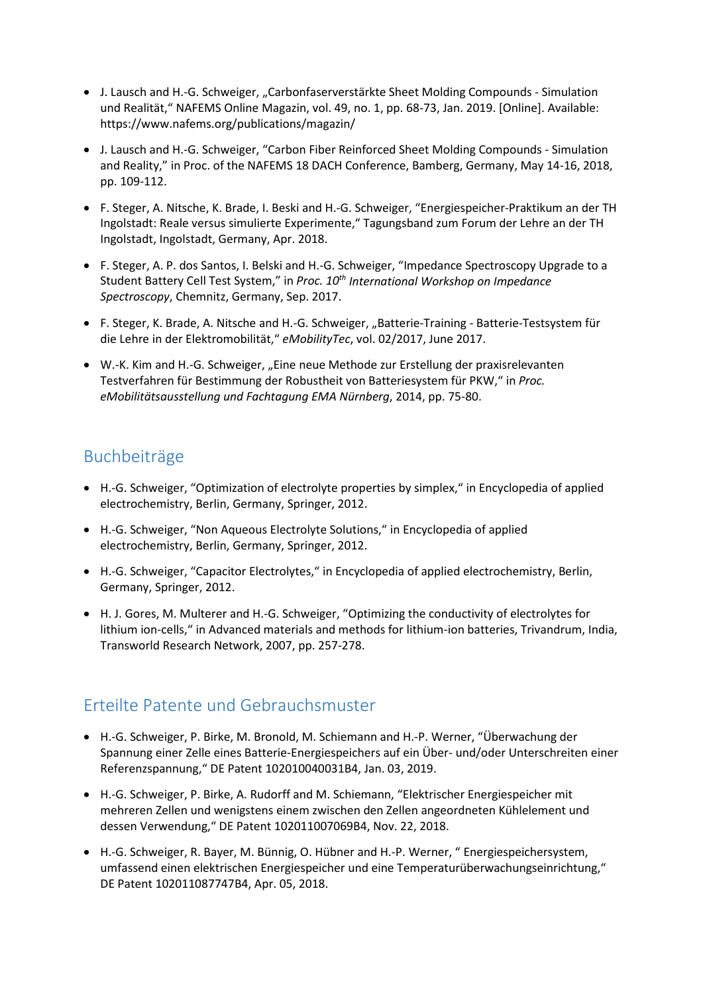- J. Lausch and H.-G. Schweiger, "Carbonfaserverstärkte Sheet Molding Compounds Simulation und Realität," NAFEMS Online Magazin, vol. 49, no. 1, pp. 68-73, Jan. 2019. [Online]. Available: <https://www.nafems.org/publications/magazin/>
- J. Lausch and H.-G. Schweiger, "Carbon Fiber Reinforced Sheet Molding Compounds Simulation and Reality," in Proc. of the NAFEMS 18 DACH Conference, Bamberg, Germany, May 14-16, 2018, pp. 109-112.
- F. Steger, A. Nitsche, K. Brade, I. Beski and H.-G. Schweiger, "Energiespeicher-Praktikum an der TH Ingolstadt: Reale versus simulierte Experimente," Tagungsband zum Forum der Lehre an der TH Ingolstadt, Ingolstadt, Germany, Apr. 2018.
- F. Steger, A. P. dos Santos, I. Belski and H.-G. Schweiger, "Impedance Spectroscopy Upgrade to a Student Battery Cell Test System," in *Proc. 10th International Workshop on Impedance Spectroscopy*, Chemnitz, Germany, Sep. 2017.
- F. Steger, K. Brade, A. Nitsche and H.-G. Schweiger, "Batterie-Training Batterie-Testsystem für die Lehre in der Elektromobilität," *eMobilityTec*, vol. 02/2017, June 2017.
- W.-K. Kim and H.-G. Schweiger, "Eine neue Methode zur Erstellung der praxisrelevanten Testverfahren für Bestimmung der Robustheit von Batteriesystem für PKW," in *Proc. eMobilitätsausstellung und Fachtagung EMA Nürnberg*, 2014, pp. 75-80.

# Buchbeiträge

- H.-G. Schweiger, "Optimization of electrolyte properties by simplex," in Encyclopedia of applied electrochemistry, Berlin, Germany, Springer, 2012.
- H.-G. Schweiger, "Non Aqueous Electrolyte Solutions," in Encyclopedia of applied electrochemistry, Berlin, Germany, Springer, 2012.
- H.-G. Schweiger, "Capacitor Electrolytes," in Encyclopedia of applied electrochemistry, Berlin, Germany, Springer, 2012.
- H. J. Gores, M. Multerer and H.-G. Schweiger, "Optimizing the conductivity of electrolytes for lithium ion-cells," in Advanced materials and methods for lithium-ion batteries, Trivandrum, India, Transworld Research Network, 2007, pp. 257-278.

### Erteilte Patente und Gebrauchsmuster

- H.-G. Schweiger, P. Birke, M. Bronold, M. Schiemann and H.-P. Werner, "Überwachung der Spannung einer Zelle eines Batterie-Energiespeichers auf ein Über- und/oder Unterschreiten einer Referenzspannung," DE Patent 102010040031B4, Jan. 03, 2019.
- H.-G. Schweiger, P. Birke, A. Rudorff and M. Schiemann, "Elektrischer Energiespeicher mit mehreren Zellen und wenigstens einem zwischen den Zellen angeordneten Kühlelement und dessen Verwendung," DE Patent 102011007069B4, Nov. 22, 2018.
- H.-G. Schweiger, R. Bayer, M. Bünnig, O. Hübner and H.-P. Werner, " Energiespeichersystem, umfassend einen elektrischen Energiespeicher und eine Temperaturüberwachungseinrichtung," DE Patent 102011087747B4, Apr. 05, 2018.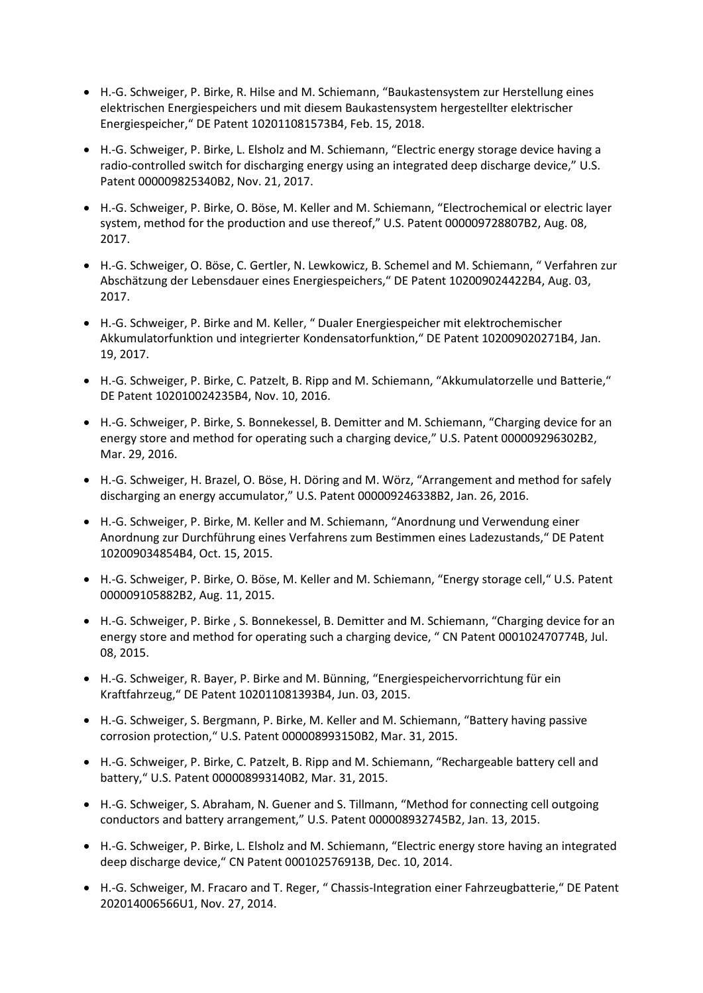- H.-G. Schweiger, P. Birke, R. Hilse and M. Schiemann, "Baukastensystem zur Herstellung eines elektrischen Energiespeichers und mit diesem Baukastensystem hergestellter elektrischer Energiespeicher," DE Patent 102011081573B4, Feb. 15, 2018.
- H.-G. Schweiger, P. Birke, L. Elsholz and M. Schiemann, "Electric energy storage device having a radio-controlled switch for discharging energy using an integrated deep discharge device," U.S. Patent 000009825340B2, Nov. 21, 2017.
- H.-G. Schweiger, P. Birke, O. Böse, M. Keller and M. Schiemann, "Electrochemical or electric layer system, method for the production and use thereof," U.S. Patent 000009728807B2, Aug. 08, 2017.
- H.-G. Schweiger, O. Böse, C. Gertler, N. Lewkowicz, B. Schemel and M. Schiemann, " Verfahren zur Abschätzung der Lebensdauer eines Energiespeichers," DE Patent 102009024422B4, Aug. 03, 2017.
- H.-G. Schweiger, P. Birke and M. Keller, " Dualer Energiespeicher mit elektrochemischer Akkumulatorfunktion und integrierter Kondensatorfunktion," DE Patent 102009020271B4, Jan. 19, 2017.
- H.-G. Schweiger, P. Birke, C. Patzelt, B. Ripp and M. Schiemann, "Akkumulatorzelle und Batterie," DE Patent 102010024235B4, Nov. 10, 2016.
- H.-G. Schweiger, P. Birke, S. Bonnekessel, B. Demitter and M. Schiemann, "Charging device for an energy store and method for operating such a charging device," U.S. Patent 000009296302B2, Mar. 29, 2016.
- H.-G. Schweiger, H. Brazel, O. Böse, H. Döring and M. Wörz, "Arrangement and method for safely discharging an energy accumulator," U.S. Patent 000009246338B2, Jan. 26, 2016.
- H.-G. Schweiger, P. Birke, M. Keller and M. Schiemann, "Anordnung und Verwendung einer Anordnung zur Durchführung eines Verfahrens zum Bestimmen eines Ladezustands," DE Patent 102009034854B4, Oct. 15, 2015.
- H.-G. Schweiger, P. Birke, O. Böse, M. Keller and M. Schiemann, "Energy storage cell," U.S. Patent 000009105882B2, Aug. 11, 2015.
- H.-G. Schweiger, P. Birke , S. Bonnekessel, B. Demitter and M. Schiemann, "Charging device for an energy store and method for operating such a charging device, " CN Patent 000102470774B, Jul. 08, 2015.
- H.-G. Schweiger, R. Bayer, P. Birke and M. Bünning, "Energiespeichervorrichtung für ein Kraftfahrzeug," DE Patent 102011081393B4, Jun. 03, 2015.
- H.-G. Schweiger, S. Bergmann, P. Birke, M. Keller and M. Schiemann, "Battery having passive corrosion protection," U.S. Patent 000008993150B2, Mar. 31, 2015.
- H.-G. Schweiger, P. Birke, C. Patzelt, B. Ripp and M. Schiemann, "Rechargeable battery cell and battery," U.S. Patent 000008993140B2, Mar. 31, 2015.
- H.-G. Schweiger, S. Abraham, N. Guener and S. Tillmann, "Method for connecting cell outgoing conductors and battery arrangement," U.S. Patent 000008932745B2, Jan. 13, 2015.
- H.-G. Schweiger, P. Birke, L. Elsholz and M. Schiemann, "Electric energy store having an integrated deep discharge device," CN Patent 000102576913B, Dec. 10, 2014.
- H.-G. Schweiger, M. Fracaro and T. Reger, " Chassis-Integration einer Fahrzeugbatterie," DE Patent 202014006566U1, Nov. 27, 2014.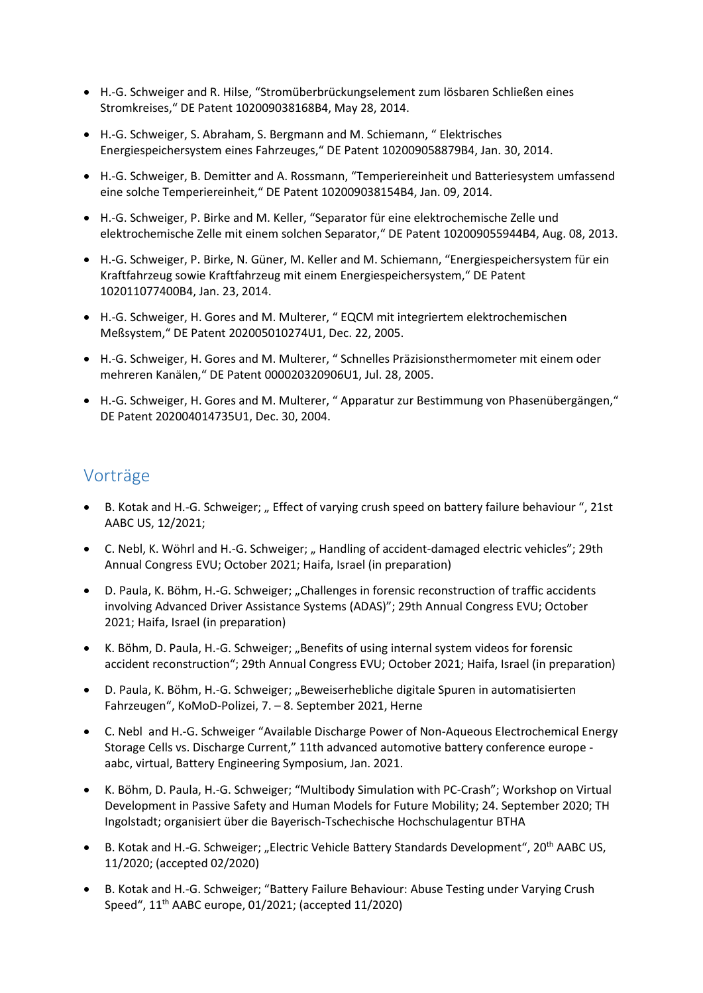- H.-G. Schweiger and R. Hilse, "Stromüberbrückungselement zum lösbaren Schließen eines Stromkreises," DE Patent 102009038168B4, May 28, 2014.
- H.-G. Schweiger, S. Abraham, S. Bergmann and M. Schiemann, " Elektrisches Energiespeichersystem eines Fahrzeuges," DE Patent 102009058879B4, Jan. 30, 2014.
- H.-G. Schweiger, B. Demitter and A. Rossmann, "Temperiereinheit und Batteriesystem umfassend eine solche Temperiereinheit," DE Patent 102009038154B4, Jan. 09, 2014.
- H.-G. Schweiger, P. Birke and M. Keller, "Separator für eine elektrochemische Zelle und elektrochemische Zelle mit einem solchen Separator," DE Patent 102009055944B4, Aug. 08, 2013.
- H.-G. Schweiger, P. Birke, N. Güner, M. Keller and M. Schiemann, "Energiespeichersystem für ein Kraftfahrzeug sowie Kraftfahrzeug mit einem Energiespeichersystem," DE Patent 102011077400B4, Jan. 23, 2014.
- H.-G. Schweiger, H. Gores and M. Multerer, " EQCM mit integriertem elektrochemischen Meßsystem," DE Patent 202005010274U1, Dec. 22, 2005.
- H.-G. Schweiger, H. Gores and M. Multerer, " Schnelles Präzisionsthermometer mit einem oder mehreren Kanälen," DE Patent 000020320906U1, Jul. 28, 2005.
- H.-G. Schweiger, H. Gores and M. Multerer, " Apparatur zur Bestimmung von Phasenübergängen," DE Patent 202004014735U1, Dec. 30, 2004.

#### Vorträge

- B. Kotak and H.-G. Schweiger; "Effect of varying crush speed on battery failure behaviour ", 21st AABC US, 12/2021;
- C. Nebl, K. Wöhrl and H.-G. Schweiger; "Handling of accident-damaged electric vehicles"; 29th Annual Congress EVU; October 2021; Haifa, Israel (in preparation)
- D. Paula, K. Böhm, H.-G. Schweiger; "Challenges in forensic reconstruction of traffic accidents involving Advanced Driver Assistance Systems (ADAS)"; 29th Annual Congress EVU; October 2021; Haifa, Israel (in preparation)
- K. Böhm, D. Paula, H.-G. Schweiger; "Benefits of using internal system videos for forensic accident reconstruction"; 29th Annual Congress EVU; October 2021; Haifa, Israel (in preparation)
- D. Paula, K. Böhm, H.-G. Schweiger; "Beweiserhebliche digitale Spuren in automatisierten Fahrzeugen", KoMoD-Polizei, 7. – 8. September 2021, Herne
- C. Nebl and H.-G. Schweiger "Available Discharge Power of Non-Aqueous Electrochemical Energy Storage Cells vs. Discharge Current," 11th advanced automotive battery conference europe aabc, virtual, Battery Engineering Symposium, Jan. 2021.
- K. Böhm, D. Paula, H.-G. Schweiger; "Multibody Simulation with PC-Crash"; Workshop on Virtual Development in Passive Safety and Human Models for Future Mobility; 24. September 2020; TH Ingolstadt; organisiert über die Bayerisch-Tschechische Hochschulagentur BTHA
- B. Kotak and H.-G. Schweiger; "Electric Vehicle Battery Standards Development", 20<sup>th</sup> AABC US, 11/2020; (accepted 02/2020)
- B. Kotak and H.-G. Schweiger; "Battery Failure Behaviour: Abuse Testing under Varying Crush Speed", 11th AABC europe, 01/2021; (accepted 11/2020)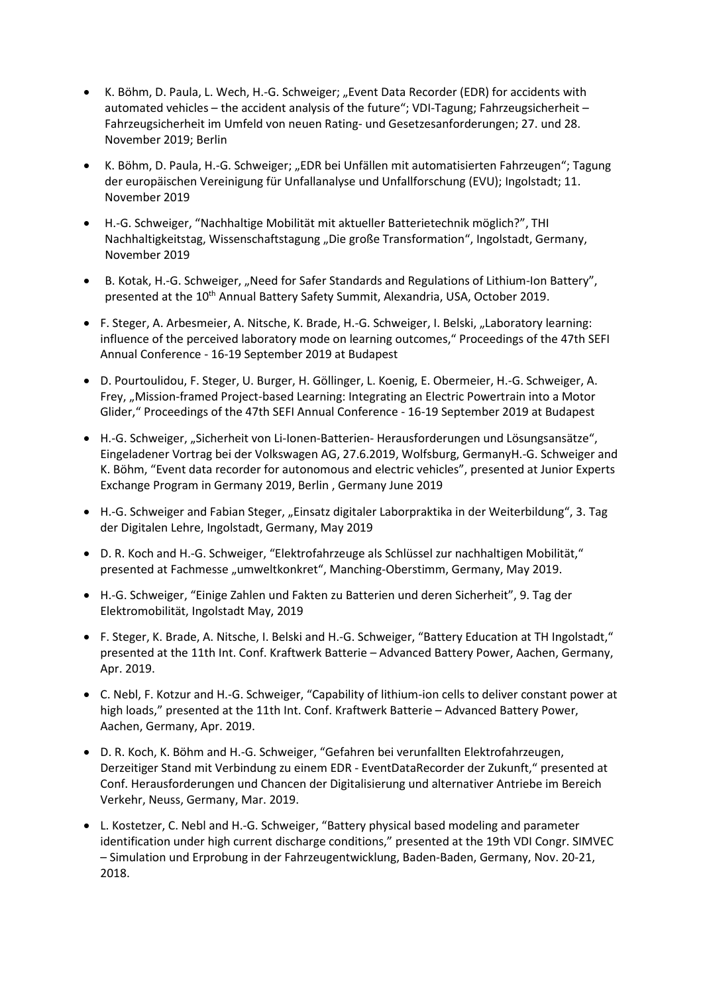- K. Böhm, D. Paula, L. Wech, H.-G. Schweiger; "Event Data Recorder (EDR) for accidents with automated vehicles – the accident analysis of the future"; VDI-Tagung; Fahrzeugsicherheit – Fahrzeugsicherheit im Umfeld von neuen Rating- und Gesetzesanforderungen; 27. und 28. November 2019; Berlin
- K. Böhm, D. Paula, H.-G. Schweiger; "EDR bei Unfällen mit automatisierten Fahrzeugen"; Tagung der europäischen Vereinigung für Unfallanalyse und Unfallforschung (EVU); Ingolstadt; 11. November 2019
- H.-G. Schweiger, "Nachhaltige Mobilität mit aktueller Batterietechnik möglich?", THI Nachhaltigkeitstag, Wissenschaftstagung "Die große Transformation", Ingolstadt, Germany, November 2019
- B. Kotak, H.-G. Schweiger, "Need for Safer Standards and Regulations of Lithium-Ion Battery", presented at the 10<sup>th</sup> Annual Battery Safety Summit, Alexandria, USA, October 2019.
- F. Steger, A. Arbesmeier, A. Nitsche, K. Brade, H.-G. Schweiger, I. Belski, "Laboratory learning: influence of the perceived laboratory mode on learning outcomes," Proceedings of the 47th SEFI Annual Conference - 16-19 September 2019 at Budapest
- D. Pourtoulidou, F. Steger, U. Burger, H. Göllinger, L. Koenig, E. Obermeier, H.-G. Schweiger, A. Frey, "Mission-framed Project-based Learning: Integrating an Electric Powertrain into a Motor Glider," Proceedings of the 47th SEFI Annual Conference - 16-19 September 2019 at Budapest
- H.-G. Schweiger, "Sicherheit von Li-Ionen-Batterien- Herausforderungen und Lösungsansätze", Eingeladener Vortrag bei der Volkswagen AG, 27.6.2019, Wolfsburg, GermanyH.-G. Schweiger and K. Böhm, "Event data recorder for autonomous and electric vehicles", presented at Junior Experts Exchange Program in Germany 2019, Berlin , Germany June 2019
- H.-G. Schweiger and Fabian Steger, "Einsatz digitaler Laborpraktika in der Weiterbildung", 3. Tag der Digitalen Lehre, Ingolstadt, Germany, May 2019
- D. R. Koch and H.-G. Schweiger, "Elektrofahrzeuge als Schlüssel zur nachhaltigen Mobilität," presented at Fachmesse "umweltkonkret", Manching-Oberstimm, Germany, May 2019.
- H.-G. Schweiger, "Einige Zahlen und Fakten zu Batterien und deren Sicherheit", 9. Tag der Elektromobilität, Ingolstadt May, 2019
- F. Steger, K. Brade, A. Nitsche, I. Belski and H.-G. Schweiger, "Battery Education at TH Ingolstadt," presented at the 11th Int. Conf. Kraftwerk Batterie – Advanced Battery Power, Aachen, Germany, Apr. 2019.
- C. Nebl, F. Kotzur and H.-G. Schweiger, "Capability of lithium-ion cells to deliver constant power at high loads," presented at the 11th Int. Conf. Kraftwerk Batterie – Advanced Battery Power, Aachen, Germany, Apr. 2019.
- D. R. Koch, K. Böhm and H.-G. Schweiger, "Gefahren bei verunfallten Elektrofahrzeugen, Derzeitiger Stand mit Verbindung zu einem EDR - EventDataRecorder der Zukunft," presented at Conf. Herausforderungen und Chancen der Digitalisierung und alternativer Antriebe im Bereich Verkehr, Neuss, Germany, Mar. 2019.
- L. Kostetzer, C. Nebl and H.-G. Schweiger, "Battery physical based modeling and parameter identification under high current discharge conditions," presented at the 19th VDI Congr. SIMVEC – Simulation und Erprobung in der Fahrzeugentwicklung, Baden-Baden, Germany, Nov. 20-21, 2018.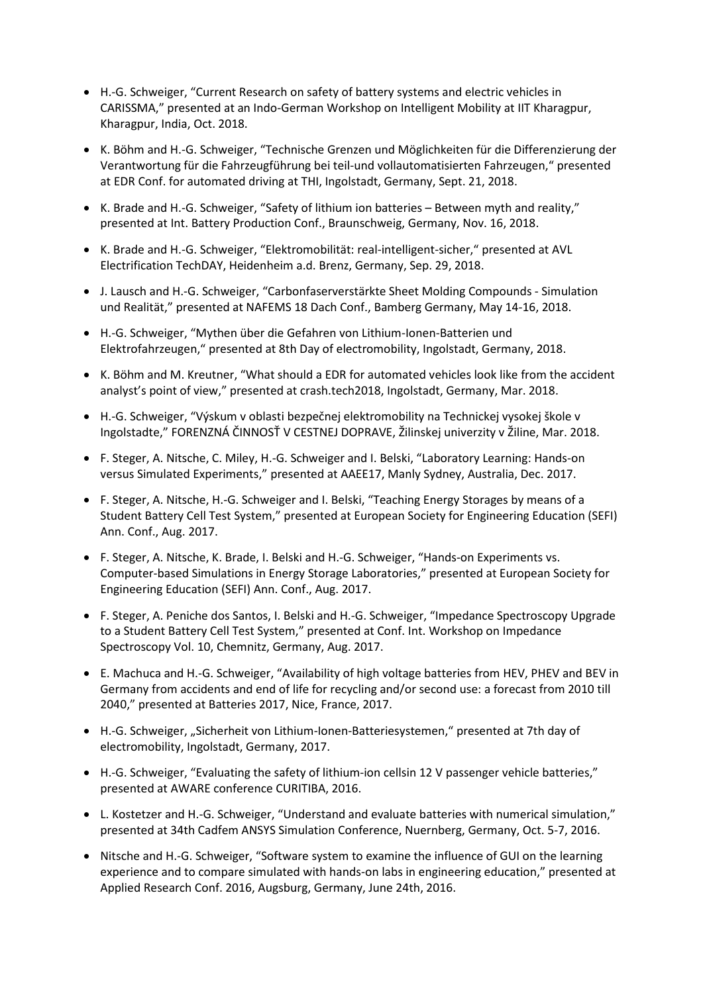- H.-G. Schweiger, "Current Research on safety of battery systems and electric vehicles in CARISSMA," presented at an Indo-German Workshop on Intelligent Mobility at IIT Kharagpur, Kharagpur, India, Oct. 2018.
- K. Böhm and H.-G. Schweiger, "Technische Grenzen und Möglichkeiten für die Differenzierung der Verantwortung für die Fahrzeugführung bei teil-und vollautomatisierten Fahrzeugen," presented at EDR Conf. for automated driving at THI, Ingolstadt, Germany, Sept. 21, 2018.
- K. Brade and H.-G. Schweiger, "Safety of lithium ion batteries Between myth and reality," presented at Int. Battery Production Conf., Braunschweig, Germany, Nov. 16, 2018.
- K. Brade and H.-G. Schweiger, "Elektromobilität: real-intelligent-sicher," presented at AVL Electrification TechDAY, Heidenheim a.d. Brenz, Germany, Sep. 29, 2018.
- J. Lausch and H.-G. Schweiger, "Carbonfaserverstärkte Sheet Molding Compounds Simulation und Realität," presented at NAFEMS 18 Dach Conf., Bamberg Germany, May 14-16, 2018.
- H.-G. Schweiger, "Mythen über die Gefahren von Lithium-Ionen-Batterien und Elektrofahrzeugen," presented at 8th Day of electromobility, Ingolstadt, Germany, 2018.
- K. Böhm and M. Kreutner, "What should a EDR for automated vehicles look like from the accident analyst's point of view," presented at crash.tech2018, Ingolstadt, Germany, Mar. 2018.
- H.-G. Schweiger, "Výskum v oblasti bezpečnej elektromobility na Technickej vysokej škole v Ingolstadte," FORENZNÁ ČINNOSŤ V CESTNEJ DOPRAVE, Žilinskej univerzity v Žiline, Mar. 2018.
- F. Steger, A. Nitsche, C. Miley, H.-G. Schweiger and I. Belski, "Laboratory Learning: Hands-on versus Simulated Experiments," presented at AAEE17, Manly Sydney, Australia, Dec. 2017.
- F. Steger, A. Nitsche, H.-G. Schweiger and I. Belski, "Teaching Energy Storages by means of a Student Battery Cell Test System," presented at European Society for Engineering Education (SEFI) Ann. Conf., Aug. 2017.
- F. Steger, A. Nitsche, K. Brade, I. Belski and H.-G. Schweiger, "Hands-on Experiments vs. Computer-based Simulations in Energy Storage Laboratories," presented at European Society for Engineering Education (SEFI) Ann. Conf., Aug. 2017.
- F. Steger, A. Peniche dos Santos, I. Belski and H.-G. Schweiger, "Impedance Spectroscopy Upgrade to a Student Battery Cell Test System," presented at Conf. Int. Workshop on Impedance Spectroscopy Vol. 10, Chemnitz, Germany, Aug. 2017.
- E. Machuca and H.-G. Schweiger, "Availability of high voltage batteries from HEV, PHEV and BEV in Germany from accidents and end of life for recycling and/or second use: a forecast from 2010 till 2040," presented at Batteries 2017, Nice, France, 2017.
- H.-G. Schweiger, "Sicherheit von Lithium-Ionen-Batteriesystemen," presented at 7th day of electromobility, Ingolstadt, Germany, 2017.
- H.-G. Schweiger, "Evaluating the safety of lithium-ion cellsin 12 V passenger vehicle batteries," presented at AWARE conference CURITIBA, 2016.
- L. Kostetzer and H.-G. Schweiger, "Understand and evaluate batteries with numerical simulation," presented at 34th Cadfem ANSYS Simulation Conference, Nuernberg, Germany, Oct. 5-7, 2016.
- Nitsche and H.-G. Schweiger, "Software system to examine the influence of GUI on the learning experience and to compare simulated with hands-on labs in engineering education," presented at Applied Research Conf. 2016, Augsburg, Germany, June 24th, 2016.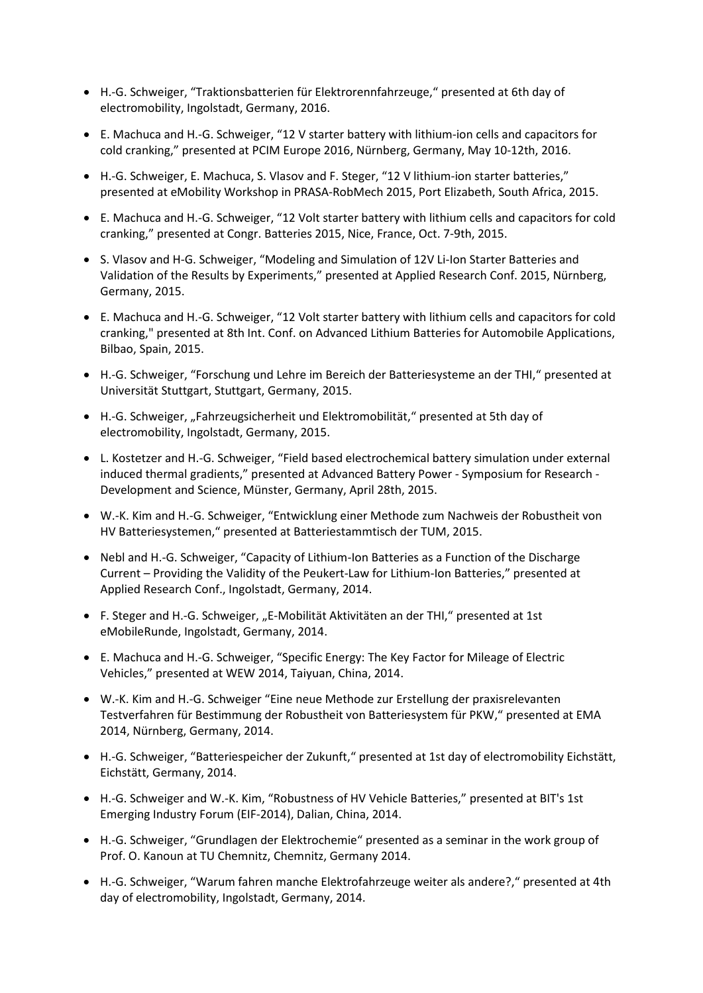- H.-G. Schweiger, "Traktionsbatterien für Elektrorennfahrzeuge," presented at 6th day of electromobility, Ingolstadt, Germany, 2016.
- E. Machuca and H.-G. Schweiger, "12 V starter battery with lithium-ion cells and capacitors for cold cranking," presented at PCIM Europe 2016, Nürnberg, Germany, May 10-12th, 2016.
- H.-G. Schweiger, E. Machuca, S. Vlasov and F. Steger, "12 V lithium-ion starter batteries," presented at eMobility Workshop in PRASA-RobMech 2015, Port Elizabeth, South Africa, 2015.
- E. Machuca and H.-G. Schweiger, "12 Volt starter battery with lithium cells and capacitors for cold cranking," presented at Congr. Batteries 2015, Nice, France, Oct. 7-9th, 2015.
- S. Vlasov and H-G. Schweiger, "Modeling and Simulation of 12V Li-Ion Starter Batteries and Validation of the Results by Experiments," presented at Applied Research Conf. 2015, Nürnberg, Germany, 2015.
- E. Machuca and H.-G. Schweiger, "12 Volt starter battery with lithium cells and capacitors for cold cranking," presented at 8th Int. Conf. on Advanced Lithium Batteries for Automobile Applications, Bilbao, Spain, 2015.
- H.-G. Schweiger, "Forschung und Lehre im Bereich der Batteriesysteme an der THI," presented at Universität Stuttgart, Stuttgart, Germany, 2015.
- H.-G. Schweiger, "Fahrzeugsicherheit und Elektromobilität," presented at 5th day of electromobility, Ingolstadt, Germany, 2015.
- L. Kostetzer and H.-G. Schweiger, "Field based electrochemical battery simulation under external induced thermal gradients," presented at Advanced Battery Power - Symposium for Research - Development and Science, Münster, Germany, April 28th, 2015.
- W.-K. Kim and H.-G. Schweiger, "Entwicklung einer Methode zum Nachweis der Robustheit von HV Batteriesystemen," presented at Batteriestammtisch der TUM, 2015.
- Nebl and H.-G. Schweiger, "Capacity of Lithium-Ion Batteries as a Function of the Discharge Current – Providing the Validity of the Peukert-Law for Lithium-Ion Batteries," presented at Applied Research Conf., Ingolstadt, Germany, 2014.
- F. Steger and H.-G. Schweiger, "E-Mobilität Aktivitäten an der THI," presented at 1st eMobileRunde, Ingolstadt, Germany, 2014.
- E. Machuca and H.-G. Schweiger, "Specific Energy: The Key Factor for Mileage of Electric Vehicles," presented at WEW 2014, Taiyuan, China, 2014.
- W.-K. Kim and H.-G. Schweiger "Eine neue Methode zur Erstellung der praxisrelevanten Testverfahren für Bestimmung der Robustheit von Batteriesystem für PKW," presented at EMA 2014, Nürnberg, Germany, 2014.
- H.-G. Schweiger, "Batteriespeicher der Zukunft," presented at 1st day of electromobility Eichstätt, Eichstätt, Germany, 2014.
- H.-G. Schweiger and W.-K. Kim, "Robustness of HV Vehicle Batteries," presented at BIT's 1st Emerging Industry Forum (EIF-2014), Dalian, China, 2014.
- H.-G. Schweiger, "Grundlagen der Elektrochemie" presented as a seminar in the work group of Prof. O. Kanoun at TU Chemnitz, Chemnitz, Germany 2014.
- H.-G. Schweiger, "Warum fahren manche Elektrofahrzeuge weiter als andere?," presented at 4th day of electromobility, Ingolstadt, Germany, 2014.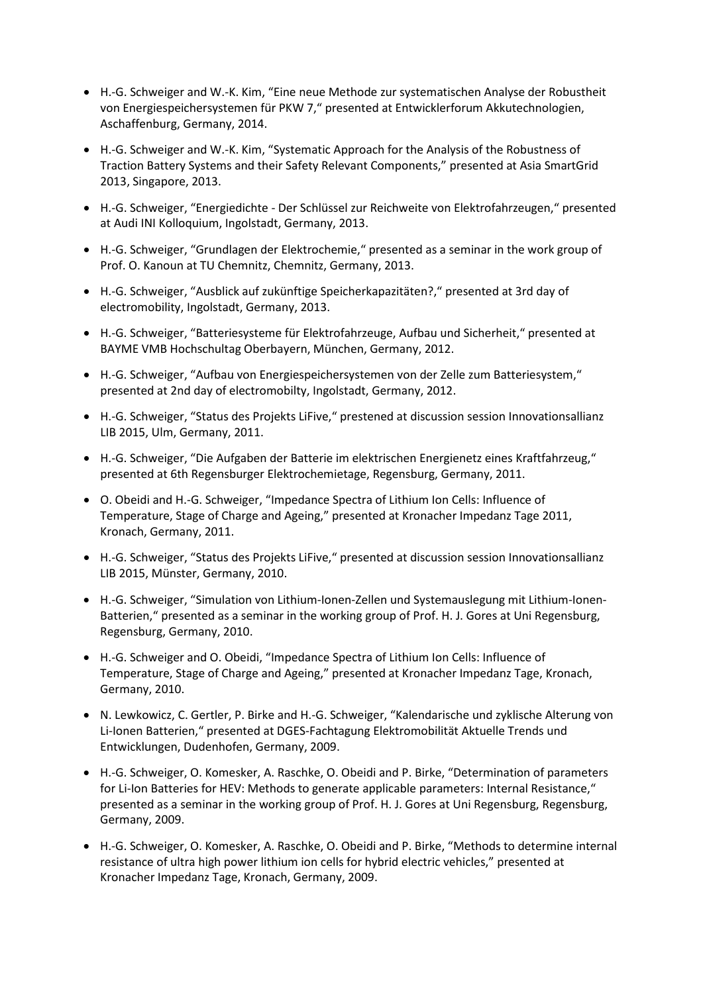- H.-G. Schweiger and W.-K. Kim, "Eine neue Methode zur systematischen Analyse der Robustheit von Energiespeichersystemen für PKW 7," presented at Entwicklerforum Akkutechnologien, Aschaffenburg, Germany, 2014.
- H.-G. Schweiger and W.-K. Kim, "Systematic Approach for the Analysis of the Robustness of Traction Battery Systems and their Safety Relevant Components," presented at Asia SmartGrid 2013, Singapore, 2013.
- H.-G. Schweiger, "Energiedichte Der Schlüssel zur Reichweite von Elektrofahrzeugen," presented at Audi INI Kolloquium, Ingolstadt, Germany, 2013.
- H.-G. Schweiger, "Grundlagen der Elektrochemie," presented as a seminar in the work group of Prof. O. Kanoun at TU Chemnitz, Chemnitz, Germany, 2013.
- H.-G. Schweiger, "Ausblick auf zukünftige Speicherkapazitäten?," presented at 3rd day of electromobility, Ingolstadt, Germany, 2013.
- H.-G. Schweiger, "Batteriesysteme für Elektrofahrzeuge, Aufbau und Sicherheit," presented at BAYME VMB Hochschultag Oberbayern, München, Germany, 2012.
- H.-G. Schweiger, "Aufbau von Energiespeichersystemen von der Zelle zum Batteriesystem," presented at 2nd day of electromobilty, Ingolstadt, Germany, 2012.
- H.-G. Schweiger, "Status des Projekts LiFive," prestened at discussion session Innovationsallianz LIB 2015, Ulm, Germany, 2011.
- H.-G. Schweiger, "Die Aufgaben der Batterie im elektrischen Energienetz eines Kraftfahrzeug," presented at 6th Regensburger Elektrochemietage, Regensburg, Germany, 2011.
- O. Obeidi and H.-G. Schweiger, "Impedance Spectra of Lithium Ion Cells: Influence of Temperature, Stage of Charge and Ageing," presented at Kronacher Impedanz Tage 2011, Kronach, Germany, 2011.
- H.-G. Schweiger, "Status des Projekts LiFive," presented at discussion session Innovationsallianz LIB 2015, Münster, Germany, 2010.
- H.-G. Schweiger, "Simulation von Lithium-Ionen-Zellen und Systemauslegung mit Lithium-Ionen-Batterien," presented as a seminar in the working group of Prof. H. J. Gores at Uni Regensburg, Regensburg, Germany, 2010.
- H.-G. Schweiger and O. Obeidi, "Impedance Spectra of Lithium Ion Cells: Influence of Temperature, Stage of Charge and Ageing," presented at Kronacher Impedanz Tage, Kronach, Germany, 2010.
- N. Lewkowicz, C. Gertler, P. Birke and H.-G. Schweiger, "Kalendarische und zyklische Alterung von Li-Ionen Batterien," presented at DGES-Fachtagung Elektromobilität Aktuelle Trends und Entwicklungen, Dudenhofen, Germany, 2009.
- H.-G. Schweiger, O. Komesker, A. Raschke, O. Obeidi and P. Birke, "Determination of parameters for Li-Ion Batteries for HEV: Methods to generate applicable parameters: Internal Resistance," presented as a seminar in the working group of Prof. H. J. Gores at Uni Regensburg, Regensburg, Germany, 2009.
- H.-G. Schweiger, O. Komesker, A. Raschke, O. Obeidi and P. Birke, "Methods to determine internal resistance of ultra high power lithium ion cells for hybrid electric vehicles," presented at Kronacher Impedanz Tage, Kronach, Germany, 2009.